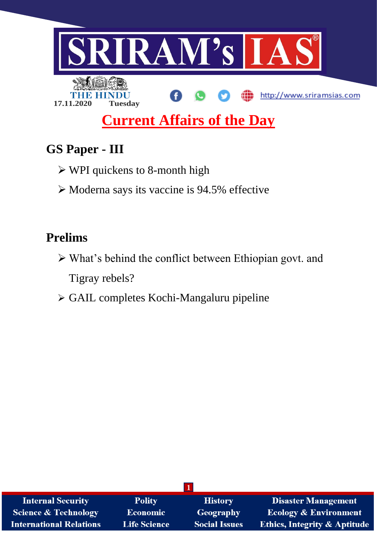

# **GS Paper - III**

- WPI quickens to 8-month high
- $\triangleright$  Moderna says its vaccine is 94.5% effective

# **Prelims**

- What's behind the conflict between Ethiopian govt. and Tigray rebels?
- GAIL completes Kochi-Mangaluru pipeline

| <b>Internal Security</b>        | <b>Polity</b>       | <b>History</b>       | <b>Disaster Management</b>              |  |
|---------------------------------|---------------------|----------------------|-----------------------------------------|--|
| <b>Science &amp; Technology</b> | <b>Economic</b>     | Geography            | <b>Ecology &amp; Environment</b>        |  |
| <b>International Relations</b>  | <b>Life Science</b> | <b>Social Issues</b> | <b>Ethics, Integrity &amp; Aptitude</b> |  |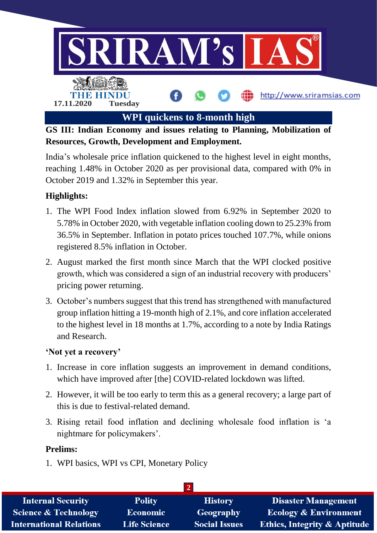

**GS III: Indian Economy and issues relating to Planning, Mobilization of Resources, Growth, Development and Employment.**

India's wholesale price inflation quickened to the highest level in eight months, reaching 1.48% in October 2020 as per provisional data, compared with 0% in October 2019 and 1.32% in September this year.

# **Highlights:**

- 1. The WPI Food Index inflation slowed from 6.92% in September 2020 to 5.78% in October 2020, with vegetable inflation cooling down to 25.23% from 36.5% in September. Inflation in potato prices touched 107.7%, while onions registered 8.5% inflation in October.
- 2. August marked the first month since March that the WPI clocked positive growth, which was considered a sign of an industrial recovery with producers' pricing power returning.
- 3. October's numbers suggest that this trend has strengthened with manufactured group inflation hitting a 19-month high of 2.1%, and core inflation accelerated to the highest level in 18 months at 1.7%, according to a note by India Ratings and Research.

#### **'Not yet a recovery'**

- 1. Increase in core inflation suggests an improvement in demand conditions, which have improved after [the] COVID-related lockdown was lifted.
- 2. However, it will be too early to term this as a general recovery; a large part of this is due to festival-related demand.
- 3. Rising retail food inflation and declining wholesale food inflation is 'a nightmare for policymakers'.

#### **Prelims:**

1. WPI basics, WPI vs CPI, Monetary Policy

| <b>Internal Security</b>        | <b>Polity</b>       | <b>History</b>       | <b>Disaster Management</b>              |  |
|---------------------------------|---------------------|----------------------|-----------------------------------------|--|
| <b>Science &amp; Technology</b> | <b>Economic</b>     | <b>Geography</b>     | <b>Ecology &amp; Environment</b>        |  |
| <b>International Relations</b>  | <b>Life Science</b> | <b>Social Issues</b> | <b>Ethics, Integrity &amp; Aptitude</b> |  |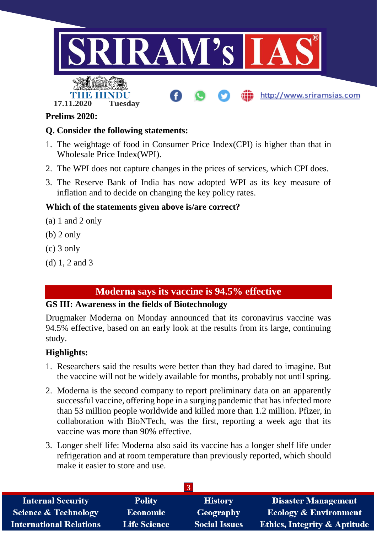

#### **Prelims 2020:**

#### **Q. Consider the following statements:**

- 1. The weightage of food in Consumer Price Index(CPI) is higher than that in Wholesale Price Index(WPI).
- 2. The WPI does not capture changes in the prices of services, which CPI does.
- 3. The Reserve Bank of India has now adopted WPI as its key measure of inflation and to decide on changing the key policy rates.

#### **Which of the statements given above is/are correct?**

- (a) 1 and 2 only
- (b) 2 only
- (c) 3 only
- (d) 1, 2 and 3

## **Moderna says its vaccine is 94.5% effective**

#### **GS III: Awareness in the fields of Biotechnology**

Drugmaker Moderna on Monday announced that its coronavirus vaccine was 94.5% effective, based on an early look at the results from its large, continuing study.

#### **Highlights:**

- 1. Researchers said the results were better than they had dared to imagine. But the vaccine will not be widely available for months, probably not until spring.
- 2. Moderna is the second company to report preliminary data on an apparently successful vaccine, offering hope in a surging pandemic that has infected more than 53 million people worldwide and killed more than 1.2 million. Pfizer, in collaboration with BioNTech, was the first, reporting a week ago that its vaccine was more than 90% effective.
- 3. Longer shelf life: Moderna also said its vaccine has a longer shelf life under refrigeration and at room temperature than previously reported, which should make it easier to store and use.

| <b>Internal Security</b>        | <b>Polity</b>       | <b>History</b>       | <b>Disaster Management</b>              |  |
|---------------------------------|---------------------|----------------------|-----------------------------------------|--|
| <b>Science &amp; Technology</b> | <b>Economic</b>     | Geography            | <b>Ecology &amp; Environment</b>        |  |
| <b>International Relations</b>  | <b>Life Science</b> | <b>Social Issues</b> | <b>Ethics, Integrity &amp; Aptitude</b> |  |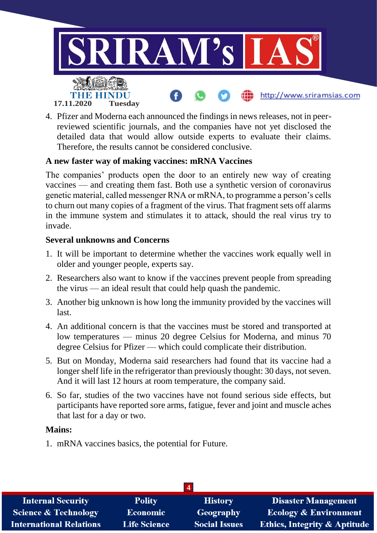

4. Pfizer and Moderna each announced the findings in news releases, not in peerreviewed scientific journals, and the companies have not yet disclosed the detailed data that would allow outside experts to evaluate their claims. Therefore, the results cannot be considered conclusive.

#### **A new faster way of making vaccines: mRNA Vaccines**

The companies' products open the door to an entirely new way of creating vaccines — and creating them fast. Both use a synthetic version of coronavirus genetic material, called messenger RNA or mRNA, to programme a person's cells to churn out many copies of a fragment of the virus. That fragment sets off alarms in the immune system and stimulates it to attack, should the real virus try to invade.

#### **Several unknowns and Concerns**

- 1. It will be important to determine whether the vaccines work equally well in older and younger people, experts say.
- 2. Researchers also want to know if the vaccines prevent people from spreading the virus — an ideal result that could help quash the pandemic.
- 3. Another big unknown is how long the immunity provided by the vaccines will last.
- 4. An additional concern is that the vaccines must be stored and transported at low temperatures — minus 20 degree Celsius for Moderna, and minus 70 degree Celsius for Pfizer — which could complicate their distribution.
- 5. But on Monday, Moderna said researchers had found that its vaccine had a longer shelf life in the refrigerator than previously thought: 30 days, not seven. And it will last 12 hours at room temperature, the company said.
- 6. So far, studies of the two vaccines have not found serious side effects, but participants have reported sore arms, fatigue, fever and joint and muscle aches that last for a day or two.

#### **Mains:**

1. mRNA vaccines basics, the potential for Future.

| <b>Internal Security</b>        | <b>Polity</b>       | <b>History</b>       | <b>Disaster Management</b>              |  |
|---------------------------------|---------------------|----------------------|-----------------------------------------|--|
| <b>Science &amp; Technology</b> | <b>Economic</b>     | Geography            | <b>Ecology &amp; Environment</b>        |  |
| <b>International Relations</b>  | <b>Life Science</b> | <b>Social Issues</b> | <b>Ethics, Integrity &amp; Aptitude</b> |  |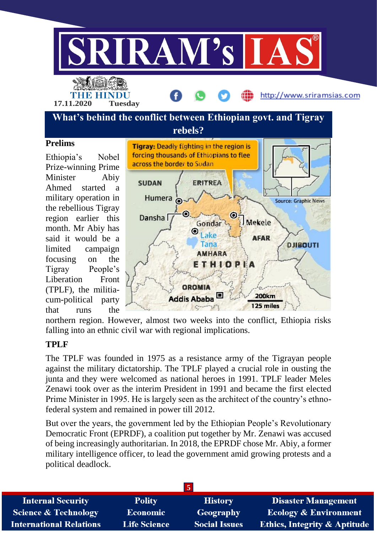

**What's behind the conflict between Ethiopian govt. and Tigray** 

#### **Prelims**

Ethiopia's Nobel Prize-winning Prime Minister Abiy Ahmed started a military operation in the rebellious Tigray region earlier this month. Mr Abiy has said it would be a limited campaign focusing on the Tigray People's Liberation Front (TPLF), the militiacum-political party that runs the



northern region. However, almost two weeks into the conflict, Ethiopia risks falling into an ethnic civil war with regional implications.

#### **TPLF**

The TPLF was founded in 1975 as a resistance army of the Tigrayan people against the military dictatorship. The TPLF played a crucial role in ousting the junta and they were welcomed as national heroes in 1991. TPLF leader Meles Zenawi took over as the interim President in 1991 and became the first elected Prime Minister in 1995. He is largely seen as the architect of the country's ethnofederal system and remained in power till 2012.

But over the years, the government led by the Ethiopian People's Revolutionary Democratic Front (EPRDF), a coalition put together by Mr. Zenawi was accused of being increasingly authoritarian. In 2018, the EPRDF chose Mr. Abiy, a former military intelligence officer, to lead the government amid growing protests and a political deadlock.

| <b>Internal Security</b>        | <b>Polity</b>       | <b>History</b>       | <b>Disaster Management</b>              |
|---------------------------------|---------------------|----------------------|-----------------------------------------|
| <b>Science &amp; Technology</b> | <b>Economic</b>     | Geography            | <b>Ecology &amp; Environment</b>        |
| <b>International Relations</b>  | <b>Life Science</b> | <b>Social Issues</b> | <b>Ethics, Integrity &amp; Aptitude</b> |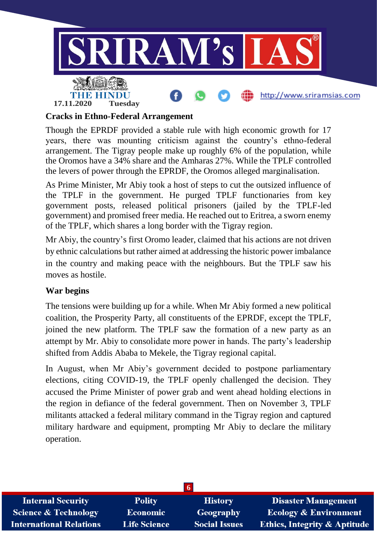

#### **Cracks in Ethno-Federal Arrangement**

Though the EPRDF provided a stable rule with high economic growth for 17 years, there was mounting criticism against the country's ethno-federal arrangement. The Tigray people make up roughly 6% of the population, while the Oromos have a 34% share and the Amharas 27%. While the TPLF controlled the levers of power through the EPRDF, the Oromos alleged marginalisation.

As Prime Minister, Mr Abiy took a host of steps to cut the outsized influence of the TPLF in the government. He purged TPLF functionaries from key government posts, released political prisoners (jailed by the TPLF-led government) and promised freer media. He reached out to Eritrea, a sworn enemy of the TPLF, which shares a long border with the Tigray region.

Mr Abiy, the country's first Oromo leader, claimed that his actions are not driven by ethnic calculations but rather aimed at addressing the historic power imbalance in the country and making peace with the neighbours. But the TPLF saw his moves as hostile.

#### **War begins**

The tensions were building up for a while. When Mr Abiy formed a new political coalition, the Prosperity Party, all constituents of the EPRDF, except the TPLF, joined the new platform. The TPLF saw the formation of a new party as an attempt by Mr. Abiy to consolidate more power in hands. The party's leadership shifted from Addis Ababa to Mekele, the Tigray regional capital.

In August, when Mr Abiy's government decided to postpone parliamentary elections, citing COVID-19, the TPLF openly challenged the decision. They accused the Prime Minister of power grab and went ahead holding elections in the region in defiance of the federal government. Then on November 3, TPLF militants attacked a federal military command in the Tigray region and captured military hardware and equipment, prompting Mr Abiy to declare the military operation.

| <b>Internal Security</b>        | <b>Polity</b>       | <b>History</b>       | <b>Disaster Management</b>              |  |
|---------------------------------|---------------------|----------------------|-----------------------------------------|--|
| <b>Science &amp; Technology</b> | <b>Economic</b>     | <b>Geography</b>     | <b>Ecology &amp; Environment</b>        |  |
| <b>International Relations</b>  | <b>Life Science</b> | <b>Social Issues</b> | <b>Ethics, Integrity &amp; Aptitude</b> |  |